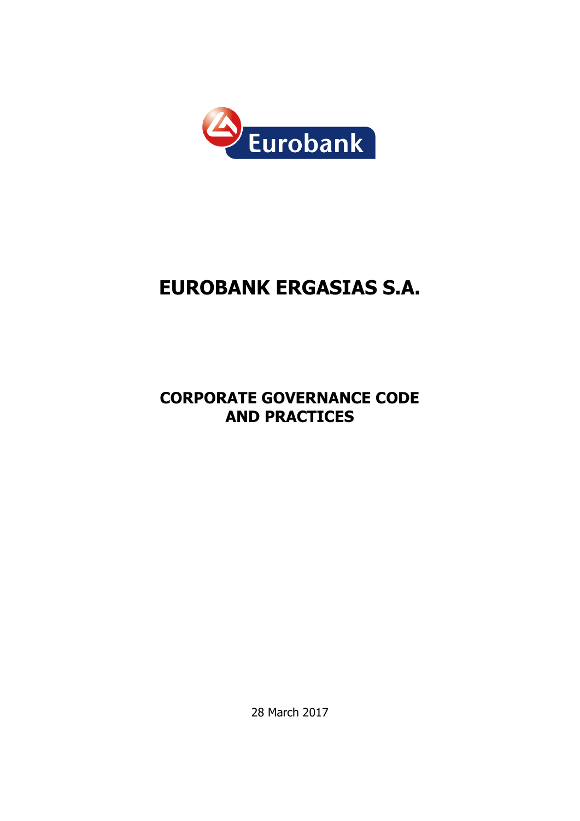

# **EUROBANK ERGASIΑS S.A.**

# **CORPORATE GOVERNANCE CODE AND PRACTICES**

28 March 2017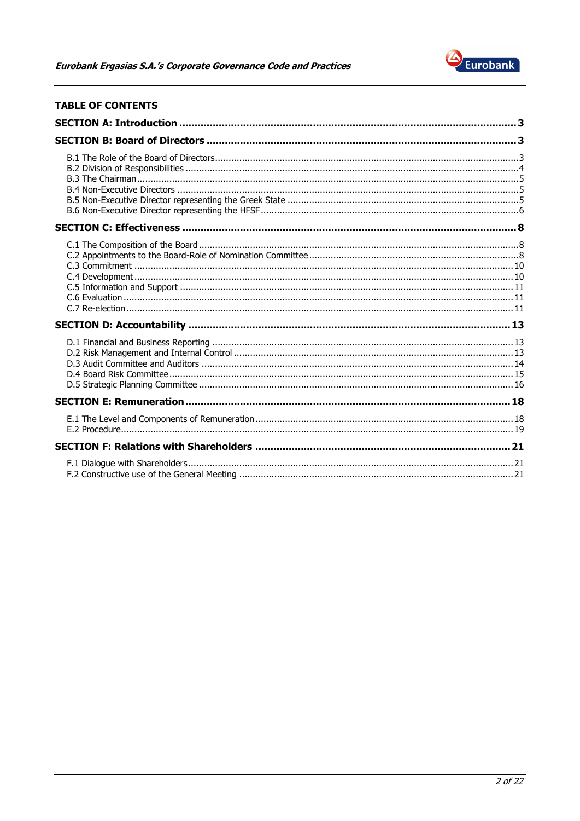

# **TABLE OF CONTENTS**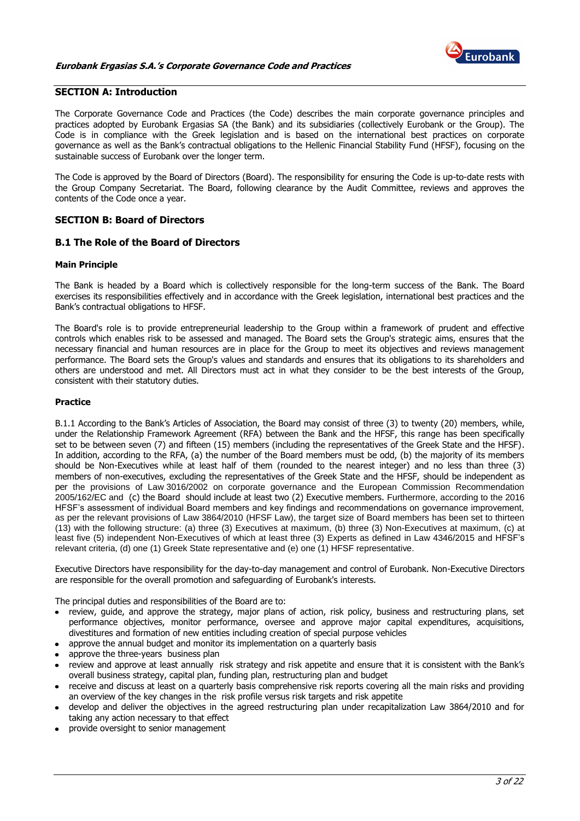

# <span id="page-2-0"></span>**SECTION A: Introduction**

The Corporate Governance Code and Practices (the Code) describes the main corporate governance principles and practices adopted by Eurobank Ergasias SA (the Bank) and its subsidiaries (collectively Eurobank or the Group). The Code is in compliance with the Greek legislation and is based on the international best practices on corporate governance as well as the Bank's contractual obligations to the Hellenic Financial Stability Fund (HFSF), focusing on the sustainable success of Eurobank over the longer term.

The Code is approved by the Board of Directors (Board). The responsibility for ensuring the Code is up-to-date rests with the Group Company Secretariat. The Board, following clearance by the Audit Committee, reviews and approves the contents of the Code once a year.

# <span id="page-2-1"></span>**SECTION B: Board of Directors**

# <span id="page-2-2"></span>**B.1 The Role of the Board of Directors**

#### **Main Principle**

The Bank is headed by a Board which is collectively responsible for the long-term success of the Bank. The Board exercises its responsibilities effectively and in accordance with the Greek legislation, international best practices and the Bank's contractual obligations to HFSF.

The Board's role is to provide entrepreneurial leadership to the Group within a framework of prudent and effective controls which enables risk to be assessed and managed. The Board sets the Group's strategic aims, ensures that the necessary financial and human resources are in place for the Group to meet its objectives and reviews management performance. The Board sets the Group's values and standards and ensures that its obligations to its shareholders and others are understood and met. All Directors must act in what they consider to be the best interests of the Group, consistent with their statutory duties.

# **Practice**

B.1.1 According to the Bank's Articles of Association, the Board may consist of three (3) to twenty (20) members, while, under the Relationship Framework Agreement (RFA) between the Bank and the HFSF, this range has been specifically set to be between seven (7) and fifteen (15) members (including the representatives of the Greek State and the HFSF). In addition, according to the RFA, (a) the number of the Board members must be odd, (b) the majority of its members should be Non-Executives while at least half of them (rounded to the nearest integer) and no less than three (3) members of non-executives, excluding the representatives of the Greek State and the HFSF, should be independent as per the provisions of Law 3016/2002 on corporate governance and the European Commission Recommendation 2005/162/EC and (c) the Board should include at least two (2) Executive members. Furthermore, according to the 2016 HFSF's assessment of individual Board members and key findings and recommendations on governance improvement, as per the relevant provisions of Law 3864/2010 (HFSF Law), the target size of Board members has been set to thirteen (13) with the following structure: (a) three (3) Executives at maximum, (b) three (3) Non-Executives at maximum, (c) at least five (5) independent Non-Executives of which at least three (3) Experts as defined in Law 4346/2015 and HFSF's relevant criteria, (d) one (1) Greek State representative and (e) one (1) HFSF representative.

Executive Directors have responsibility for the day-to-day management and control of Eurobank. Non-Executive Directors are responsible for the overall promotion and safeguarding of Eurobank's interests.

The principal duties and responsibilities of the Board are to:

- review, guide, and approve the strategy, major plans of action, risk policy, business and restructuring plans, set performance objectives, monitor performance, oversee and approve major capital expenditures, acquisitions, divestitures and formation of new entities including creation of special purpose vehicles
- approve the annual budget and monitor its implementation on a quarterly basis
- approve the three-years business plan
- review and approve at least annually risk strategy and risk appetite and ensure that it is consistent with the Bank's overall business strategy, capital plan, funding plan, restructuring plan and budget
- receive and discuss at least on a quarterly basis comprehensive risk reports covering all the main risks and providing an overview of the key changes in the risk profile versus risk targets and risk appetite
- develop and deliver the objectives in the agreed restructuring plan under recapitalization Law 3864/2010 and for taking any action necessary to that effect
- provide oversight to senior management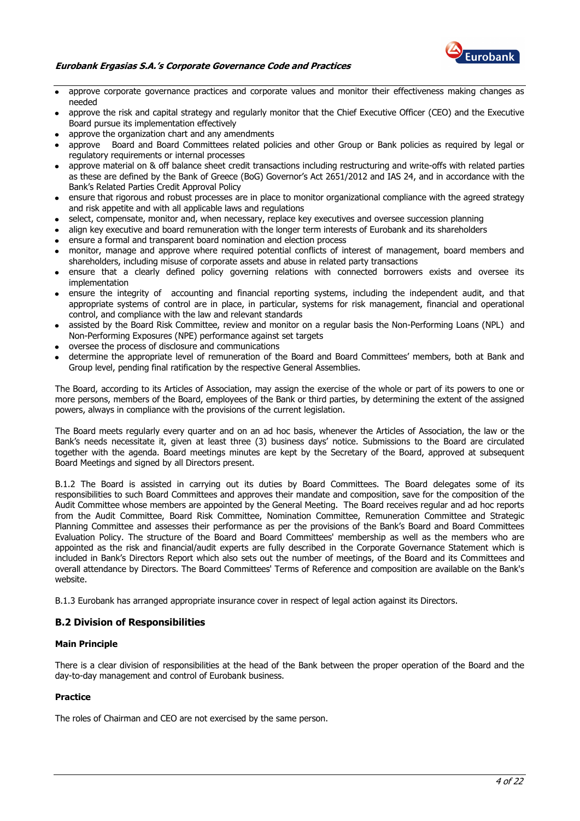

#### **Eurobank Ergasias S.A.'s Corporate Governance Code and Practices**

- approve corporate governance practices and corporate values and monitor their effectiveness making changes as needed
- approve the risk and capital strategy and regularly monitor that the Chief Executive Officer (CEO) and the Executive Board pursue its implementation effectively
- approve the organization chart and any amendments
- approve Board and Board Committees related policies and other Group or Bank policies as required by legal or regulatory requirements or internal processes
- approve material on & off balance sheet credit transactions including restructuring and write-offs with related parties as these are defined by the Bank of Greece (BoG) Governor's Act 2651/2012 and IAS 24, and in accordance with the Bank's Related Parties Credit Approval Policy
- ensure that rigorous and robust processes are in place to monitor organizational compliance with the agreed strategy and risk appetite and with all applicable laws and regulations
- select, compensate, monitor and, when necessary, replace key executives and oversee succession planning
- align key executive and board remuneration with the longer term interests of Eurobank and its shareholders
- ensure a formal and transparent board nomination and election process
- monitor, manage and approve where required potential conflicts of interest of management, board members and shareholders, including misuse of corporate assets and abuse in related party transactions
- ensure that a clearly defined policy governing relations with connected borrowers exists and oversee its implementation
- ensure the integrity of accounting and financial reporting systems, including the independent audit, and that appropriate systems of control are in place, in particular, systems for risk management, financial and operational control, and compliance with the law and relevant standards
- assisted by the Board Risk Committee, review and monitor on a regular basis the Non-Performing Loans (NPL) and Non-Performing Exposures (NPE) performance against set targets
- oversee the process of disclosure and communications
- determine the appropriate level of remuneration of the Board and Board Committees' members, both at Bank and Group level, pending final ratification by the respective General Assemblies.

The Board, according to its Articles of Association, may assign the exercise of the whole or part of its powers to one or more persons, members of the Board, employees of the Bank or third parties, by determining the extent of the assigned powers, always in compliance with the provisions of the current legislation.

The Board meets regularly every quarter and on an ad hoc basis, whenever the Articles of Association, the law or the Bank's needs necessitate it, given at least three (3) business days' notice. Submissions to the Board are circulated together with the agenda. Board meetings minutes are kept by the Secretary of the Board, approved at subsequent Board Meetings and signed by all Directors present.

B.1.2 The Board is assisted in carrying out its duties by Board Committees. The Board delegates some of its responsibilities to such Board Committees and approves their mandate and composition, save for the composition of the Audit Committee whose members are appointed by the General Meeting. The Board receives regular and ad hoc reports from the Audit Committee, Board Risk Committee, Nomination Committee, Remuneration Committee and Strategic Planning Committee and assesses their performance as per the provisions of the Bank's Board and Board Committees Evaluation Policy. The structure of the Board and Board Committees' membership as well as the members who are appointed as the risk and financial/audit experts are fully described in the Corporate Governance Statement which is included in Bank's Directors Report which also sets out the number of meetings, of the Board and its Committees and overall attendance by Directors. The Board Committees' Terms of Reference and composition are available on the Bank's website.

B.1.3 Eurobank has arranged appropriate insurance cover in respect of legal action against its Directors.

# <span id="page-3-0"></span>**B.2 Division of Responsibilities**

#### **Main Principle**

There is a clear division of responsibilities at the head of the Bank between the proper operation of the Board and the day-to-day management and control of Eurobank business.

#### **Practice**

The roles of Chairman and CEO are not exercised by the same person.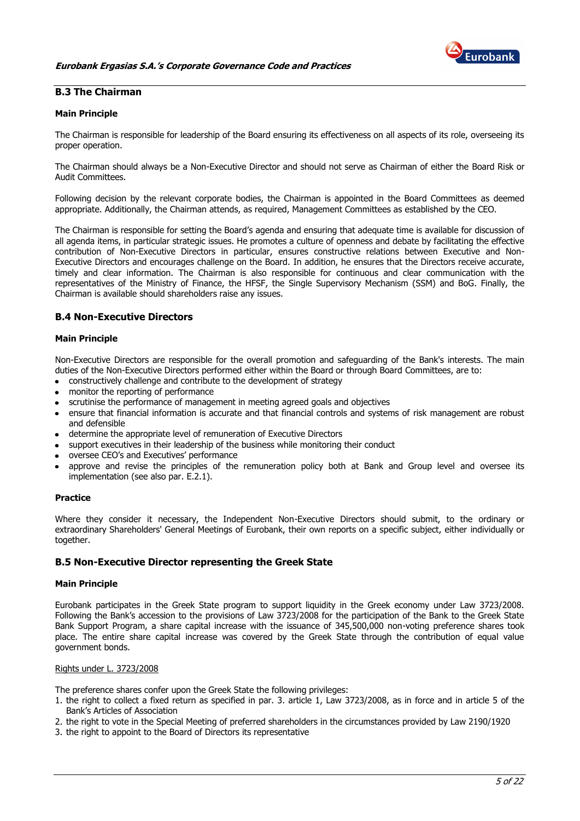

# <span id="page-4-0"></span>**B.3 The Chairman**

#### **Main Principle**

The Chairman is responsible for leadership of the Board ensuring its effectiveness on all aspects of its role, overseeing its proper operation.

The Chairman should always be a Non-Executive Director and should not serve as Chairman of either the Board Risk or Audit Committees.

Following decision by the relevant corporate bodies, the Chairman is appointed in the Board Committees as deemed appropriate. Additionally, the Chairman attends, as required, Management Committees as established by the CEO.

The Chairman is responsible for setting the Board's agenda and ensuring that adequate time is available for discussion of all agenda items, in particular strategic issues. He promotes a culture of openness and debate by facilitating the effective contribution of Non-Executive Directors in particular, ensures constructive relations between Executive and Non-Executive Directors and encourages challenge on the Board. In addition, he ensures that the Directors receive accurate, timely and clear information. The Chairman is also responsible for continuous and clear communication with the representatives of the Ministry of Finance, the HFSF, the Single Supervisory Mechanism (SSM) and BoG. Finally, the Chairman is available should shareholders raise any issues.

# <span id="page-4-1"></span>**B.4 Non-Executive Directors**

#### **Main Principle**

Non-Executive Directors are responsible for the overall promotion and safeguarding of the Bank's interests. The main duties of the Non-Executive Directors performed either within the Board or through Board Committees, are to:

- constructively challenge and contribute to the development of strategy
- monitor the reporting of performance
- scrutinise the performance of management in meeting agreed goals and objectives
- ensure that financial information is accurate and that financial controls and systems of risk management are robust and defensible
- determine the appropriate level of remuneration of Executive Directors
- support executives in their leadership of the business while monitoring their conduct
- oversee CEO's and Executives' performance
- approve and revise the principles of the remuneration policy both at Bank and Group level and oversee its implementation (see also par. E.2.1).

#### **Practice**

Where they consider it necessary, the Independent Non-Executive Directors should submit, to the ordinary or extraordinary Shareholders' General Meetings of Eurobank, their own reports on a specific subject, either individually or together.

#### <span id="page-4-2"></span>**B.5 Non-Executive Director representing the Greek State**

#### **Main Principle**

Eurobank participates in the Greek State program to support liquidity in the Greek economy under Law 3723/2008. Following the Bank's accession to the provisions of Law 3723/2008 for the participation of the Bank to the Greek State Bank Support Program, a share capital increase with the issuance of 345,500,000 non-voting preference shares took place. The entire share capital increase was covered by the Greek State through the contribution of equal value government bonds.

#### Rights under L. 3723/2008

The preference shares confer upon the Greek State the following privileges:

- 1. the right to collect a fixed return as specified in par. 3. article 1, Law 3723/2008, as in force and in article 5 of the Bank's Articles of Association
- 2. the right to vote in the Special Meeting of preferred shareholders in the circumstances provided by Law 2190/1920
- 3. the right to appoint to the Board of Directors its representative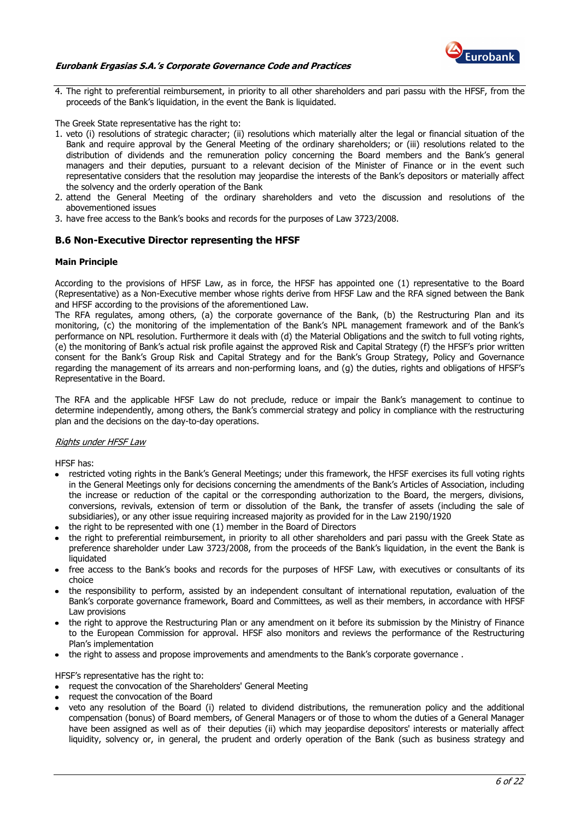

#### **Eurobank Ergasias S.A.'s Corporate Governance Code and Practices**

4. The right to preferential reimbursement, in priority to all other shareholders and pari passu with the HFSF, from the proceeds of the Bank's liquidation, in the event the Bank is liquidated.

The Greek State representative has the right to:

- 1. veto (i) resolutions of strategic character; (ii) resolutions which materially alter the legal or financial situation of the Bank and require approval by the General Meeting of the ordinary shareholders; or (iii) resolutions related to the distribution of dividends and the remuneration policy concerning the Board members and the Bank's general managers and their deputies, pursuant to a relevant decision of the Minister of Finance or in the event such representative considers that the resolution may jeopardise the interests of the Bank's depositors or materially affect the solvency and the orderly operation of the Bank
- 2. attend the General Meeting of the ordinary shareholders and veto the discussion and resolutions of the abovementioned issues
- 3. have free access to the Bank's books and records for the purposes of Law 3723/2008.

#### <span id="page-5-0"></span>**B.6 Non-Executive Director representing the HFSF**

#### **Main Principle**

According to the provisions of HFSF Law, as in force, the HFSF has appointed one (1) representative to the Board (Representative) as a Non-Executive member whose rights derive from HFSF Law and the RFA signed between the Bank and HFSF according to the provisions of the aforementioned Law.

The RFA regulates, among others, (a) the corporate governance of the Bank, (b) the Restructuring Plan and its monitoring, (c) the monitoring of the implementation of the Bank's NPL management framework and of the Bank's performance on NPL resolution. Furthermore it deals with (d) the Material Obligations and the switch to full voting rights, (e) the monitoring of Bank's actual risk profile against the approved Risk and Capital Strategy (f) the HFSF's prior written consent for the Bank's Group Risk and Capital Strategy and for the Bank's Group Strategy, Policy and Governance regarding the management of its arrears and non-performing loans, and (g) the duties, rights and obligations of HFSF's Representative in the Board.

The RFA and the applicable HFSF Law do not preclude, reduce or impair the Bank's management to continue to determine independently, among others, the Bank's commercial strategy and policy in compliance with the restructuring plan and the decisions on the day-to-day operations.

#### Rights under HFSF Law

HFSF has:

- restricted voting rights in the Bank's General Meetings; under this framework, the HFSF exercises its full voting rights in the General Meetings only for decisions concerning the amendments of the Bank's Articles of Association, including the increase or reduction of the capital or the corresponding authorization to the Board, the mergers, divisions, conversions, revivals, extension of term or dissolution of the Bank, the transfer of assets (including the sale of subsidiaries), or any other issue requiring increased majority as provided for in the Law 2190/1920
- the right to be represented with one (1) member in the Board of Directors
- the right to preferential reimbursement, in priority to all other shareholders and pari passu with the Greek State as preference shareholder under Law 3723/2008, from the proceeds of the Bank's liquidation, in the event the Bank is liquidated
- free access to the Bank's books and records for the purposes of HFSF Law, with executives or consultants of its choice
- the responsibility to perform, assisted by an independent consultant of international reputation, evaluation of the Bank's corporate governance framework, Board and Committees, as well as their members, in accordance with HFSF Law provisions
- the right to approve the Restructuring Plan or any amendment on it before its submission by the Ministry of Finance to the European Commission for approval. HFSF also monitors and reviews the performance of the Restructuring Plan's implementation
- the right to assess and propose improvements and amendments to the Bank's corporate governance .

HFSF's representative has the right to:

- request the convocation of the Shareholders' General Meeting
- request the convocation of the Board
- veto any resolution of the Board (i) related to dividend distributions, the remuneration policy and the additional compensation (bonus) of Board members, of General Managers or of those to whom the duties of a General Manager have been assigned as well as of their deputies (ii) which may jeopardise depositors' interests or materially affect liquidity, solvency or, in general, the prudent and orderly operation of the Bank (such as business strategy and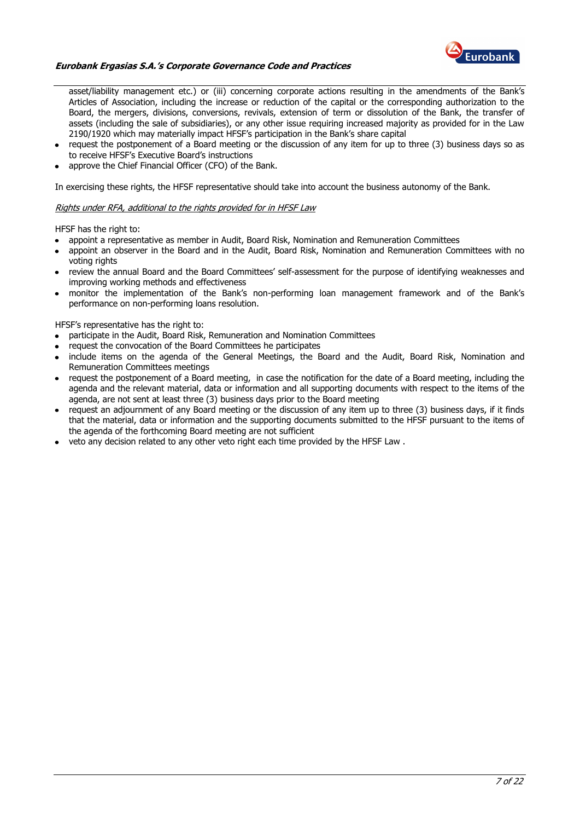

#### **Eurobank Ergasias S.A.'s Corporate Governance Code and Practices**

asset/liability management etc.) or (iii) concerning corporate actions resulting in the amendments of the Bank's Articles of Association, including the increase or reduction of the capital or the corresponding authorization to the Board, the mergers, divisions, conversions, revivals, extension of term or dissolution of the Bank, the transfer of assets (including the sale of subsidiaries), or any other issue requiring increased majority as provided for in the Law 2190/1920 which may materially impact HFSF's participation in the Bank's share capital

- request the postponement of a Board meeting or the discussion of any item for up to three (3) business days so as to receive HFSF's Executive Board's instructions
- approve the Chief Financial Officer (CFO) of the Bank.

In exercising these rights, the HFSF representative should take into account the business autonomy of the Bank.

#### Rights under RFA, additional to the rights provided for in HFSF Law

HFSF has the right to:

- appoint a representative as member in Audit, Board Risk, Nomination and Remuneration Committees
- appoint an observer in the Board and in the Audit, Board Risk, Nomination and Remuneration Committees with no voting rights
- review the annual Board and the Board Committees' self-assessment for the purpose of identifying weaknesses and improving working methods and effectiveness
- monitor the implementation of the Bank's non-performing loan management framework and of the Bank's performance on non-performing loans resolution.

HFSF's representative has the right to:

- participate in the Audit, Board Risk, Remuneration and Nomination Committees
- request the convocation of the Board Committees he participates
- include items on the agenda of the General Meetings, the Board and the Audit, Board Risk, Nomination and Remuneration Committees meetings
- request the postponement of a Board meeting, in case the notification for the date of a Board meeting, including the agenda and the relevant material, data or information and all supporting documents with respect to the items of the agenda, are not sent at least three (3) business days prior to the Board meeting
- request an adjournment of any Board meeting or the discussion of any item up to three (3) business days, if it finds that the material, data or information and the supporting documents submitted to the HFSF pursuant to the items of the agenda of the forthcoming Board meeting are not sufficient
- veto any decision related to any other veto right each time provided by the HFSF Law.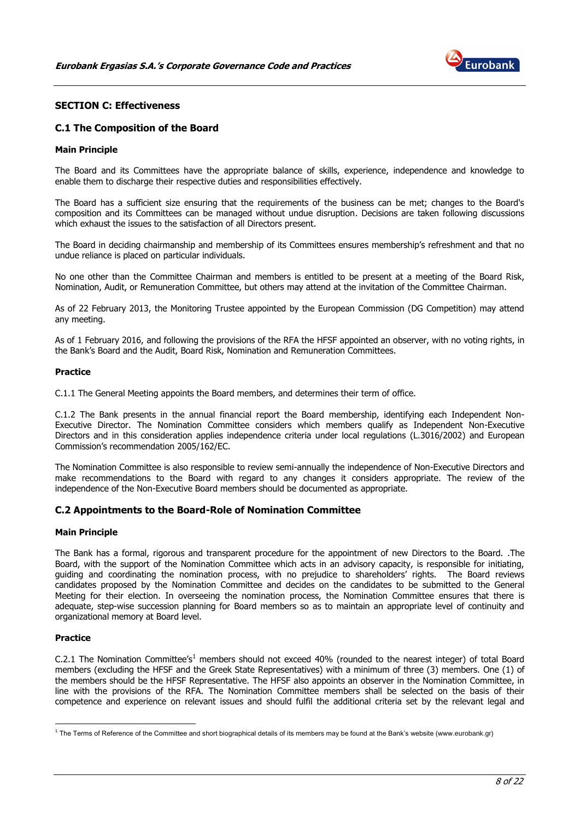

# <span id="page-7-0"></span>**SECTION C: Effectiveness**

# <span id="page-7-1"></span>**C.1 The Composition of the Board**

#### **Main Principle**

The Board and its Committees have the appropriate balance of skills, experience, independence and knowledge to enable them to discharge their respective duties and responsibilities effectively.

The Board has a sufficient size ensuring that the requirements of the business can be met; changes to the Board's composition and its Committees can be managed without undue disruption. Decisions are taken following discussions which exhaust the issues to the satisfaction of all Directors present.

The Board in deciding chairmanship and membership of its Committees ensures membership's refreshment and that no undue reliance is placed on particular individuals.

No one other than the Committee Chairman and members is entitled to be present at a meeting of the Board Risk, Nomination, Audit, or Remuneration Committee, but others may attend at the invitation of the Committee Chairman.

As of 22 February 2013, the Monitoring Trustee appointed by the European Commission (DG Competition) may attend any meeting.

As of 1 February 2016, and following the provisions of the RFA the HFSF appointed an observer, with no voting rights, in the Bank's Board and the Audit, Board Risk, Nomination and Remuneration Committees.

#### **Practice**

C.1.1 The General Meeting appoints the Board members, and determines their term of office.

C.1.2 The Bank presents in the annual financial report the Board membership, identifying each Independent Non-Executive Director. The Nomination Committee considers which members qualify as Independent Non-Executive Directors and in this consideration applies independence criteria under local regulations (L.3016/2002) and European Commission's recommendation 2005/162/EC.

The Nomination Committee is also responsible to review semi-annually the independence of Non-Executive Directors and make recommendations to the Board with regard to any changes it considers appropriate. The review of the independence of the Non-Executive Board members should be documented as appropriate.

#### <span id="page-7-2"></span>**C.2 Appointments to the Board-Role of Nomination Committee**

#### **Main Principle**

The Bank has a formal, rigorous and transparent procedure for the appointment of new Directors to the Board. .The Board, with the support of the Nomination Committee which acts in an advisory capacity, is responsible for initiating, guiding and coordinating the nomination process, with no prejudice to shareholders' rights. The Board reviews candidates proposed by the Nomination Committee and decides on the candidates to be submitted to the General Meeting for their election. In overseeing the nomination process, the Nomination Committee ensures that there is adequate, step-wise succession planning for Board members so as to maintain an appropriate level of continuity and organizational memory at Board level.

#### **Practice**

<u>.</u>

C.2.1 The Nomination Committee's<sup>1</sup> members should not exceed 40% (rounded to the nearest integer) of total Board members (excluding the HFSF and the Greek State Representatives) with a minimum of three (3) members. One (1) of the members should be the HFSF Representative. The HFSF also appoints an observer in the Nomination Committee, in line with the provisions of the RFA. The Nomination Committee members shall be selected on the basis of their competence and experience on relevant issues and should fulfil the additional criteria set by the relevant legal and

<sup>&</sup>lt;sup>1</sup> The Terms of Reference of the Committee and short biographical details of its members may be found at the Bank's website (www.eurobank.gr)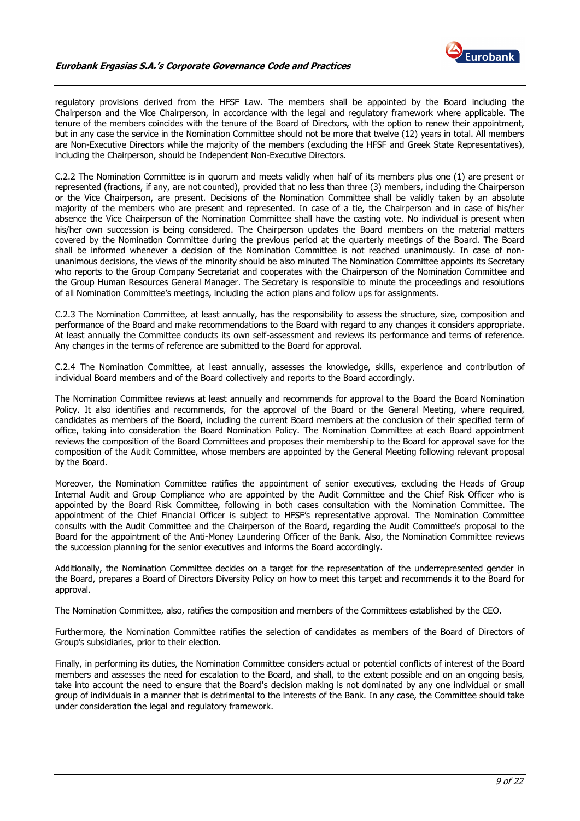

regulatory provisions derived from the HFSF Law. The members shall be appointed by the Board including the Chairperson and the Vice Chairperson, in accordance with the legal and regulatory framework where applicable. The tenure of the members coincides with the tenure of the Board of Directors, with the option to renew their appointment, but in any case the service in the Nomination Committee should not be more that twelve (12) years in total. All members are Non-Executive Directors while the majority of the members (excluding the HFSF and Greek State Representatives), including the Chairperson, should be Independent Non-Executive Directors.

C.2.2 The Nomination Committee is in quorum and meets validly when half of its members plus one (1) are present or represented (fractions, if any, are not counted), provided that no less than three (3) members, including the Chairperson or the Vice Chairperson, are present. Decisions of the Nomination Committee shall be validly taken by an absolute majority of the members who are present and represented. In case of a tie, the Chairperson and in case of his/her absence the Vice Chairperson of the Nomination Committee shall have the casting vote. No individual is present when his/her own succession is being considered. The Chairperson updates the Board members on the material matters covered by the Nomination Committee during the previous period at the quarterly meetings of the Board. The Board shall be informed whenever a decision of the Nomination Committee is not reached unanimously. In case of nonunanimous decisions, the views of the minority should be also minuted The Nomination Committee appoints its Secretary who reports to the Group Company Secretariat and cooperates with the Chairperson of the Nomination Committee and the Group Human Resources General Manager. The Secretary is responsible to minute the proceedings and resolutions of all Nomination Committee's meetings, including the action plans and follow ups for assignments.

C.2.3 The Nomination Committee, at least annually, has the responsibility to assess the structure, size, composition and performance of the Board and make recommendations to the Board with regard to any changes it considers appropriate. At least annually the Committee conducts its own self-assessment and reviews its performance and terms of reference. Any changes in the terms of reference are submitted to the Board for approval.

C.2.4 The Nomination Committee, at least annually, assesses the knowledge, skills, experience and contribution of individual Board members and of the Board collectively and reports to the Board accordingly.

The Nomination Committee reviews at least annually and recommends for approval to the Board the Board Nomination Policy. It also identifies and recommends, for the approval of the Board or the General Meeting, where required, candidates as members of the Board, including the current Board members at the conclusion of their specified term of office, taking into consideration the Board Nomination Policy. The Nomination Committee at each Board appointment reviews the composition of the Board Committees and proposes their membership to the Board for approval save for the composition of the Audit Committee, whose members are appointed by the General Meeting following relevant proposal by the Board.

Moreover, the Nomination Committee ratifies the appointment of senior executives, excluding the Heads of Group Internal Audit and Group Compliance who are appointed by the Audit Committee and the Chief Risk Officer who is appointed by the Board Risk Committee, following in both cases consultation with the Nomination Committee. The appointment of the Chief Financial Officer is subject to HFSF's representative approval. The Nomination Committee consults with the Audit Committee and the Chairperson of the Board, regarding the Audit Committee's proposal to the Board for the appointment of the Anti-Money Laundering Officer of the Bank. Also, the Nomination Committee reviews the succession planning for the senior executives and informs the Board accordingly.

Additionally, the Nomination Committee decides on a target for the representation of the underrepresented gender in the Board, prepares a Board of Directors Diversity Policy on how to meet this target and recommends it to the Board for approval.

The Nomination Committee, also, ratifies the composition and members of the Committees established by the CEO.

Furthermore, the Nomination Committee ratifies the selection of candidates as members of the Board of Directors of Group's subsidiaries, prior to their election.

Finally, in performing its duties, the Nomination Committee considers actual or potential conflicts of interest of the Board members and assesses the need for escalation to the Board, and shall, to the extent possible and on an ongoing basis, take into account the need to ensure that the Board's decision making is not dominated by any one individual or small group of individuals in a manner that is detrimental to the interests of the Bank. In any case, the Committee should take under consideration the legal and regulatory framework.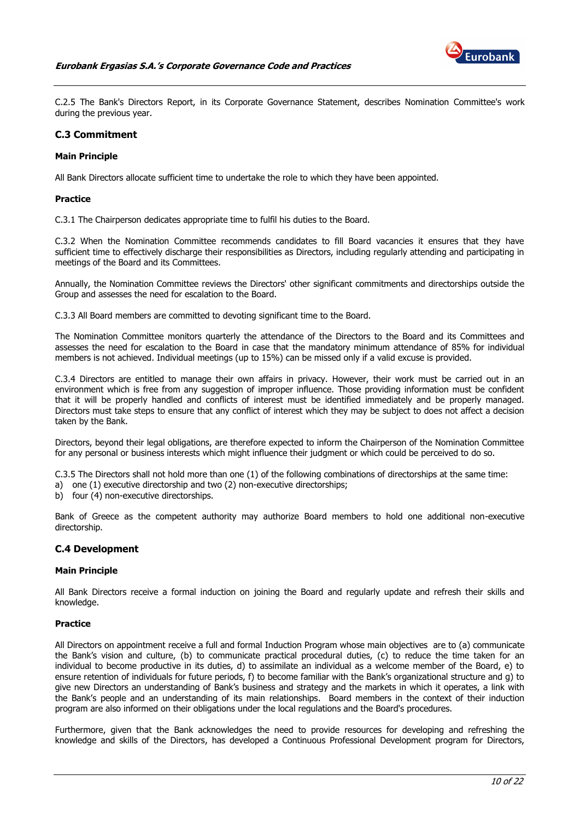

C.2.5 The Bank's Directors Report, in its Corporate Governance Statement, describes Nomination Committee's work during the previous year.

#### <span id="page-9-0"></span>**C.3 Commitment**

#### **Main Principle**

All Bank Directors allocate sufficient time to undertake the role to which they have been appointed.

#### **Practice**

C.3.1 The Chairperson dedicates appropriate time to fulfil his duties to the Board.

C.3.2 When the Nomination Committee recommends candidates to fill Board vacancies it ensures that they have sufficient time to effectively discharge their responsibilities as Directors, including regularly attending and participating in meetings of the Board and its Committees.

Annually, the Nomination Committee reviews the Directors' other significant commitments and directorships outside the Group and assesses the need for escalation to the Board.

C.3.3 All Board members are committed to devoting significant time to the Board.

The Nomination Committee monitors quarterly the attendance of the Directors to the Board and its Committees and assesses the need for escalation to the Board in case that the mandatory minimum attendance of 85% for individual members is not achieved. Individual meetings (up to 15%) can be missed only if a valid excuse is provided.

C.3.4 Directors are entitled to manage their own affairs in privacy. However, their work must be carried out in an environment which is free from any suggestion of improper influence. Those providing information must be confident that it will be properly handled and conflicts of interest must be identified immediately and be properly managed. Directors must take steps to ensure that any conflict of interest which they may be subject to does not affect a decision taken by the Bank.

Directors, beyond their legal obligations, are therefore expected to inform the Chairperson of the Nomination Committee for any personal or business interests which might influence their judgment or which could be perceived to do so.

- C.3.5 The Directors shall not hold more than one (1) of the following combinations of directorships at the same time:
- a) one (1) executive directorship and two (2) non-executive directorships;
- b) four (4) non-executive directorships.

Bank of Greece as the competent authority may authorize Board members to hold one additional non-executive directorship.

#### <span id="page-9-1"></span>**C.4 Development**

# **Main Principle**

All Βank Directors receive a formal induction on joining the Board and regularly update and refresh their skills and knowledge.

#### **Practice**

All Directors on appointment receive a full and formal Induction Program whose main objectives are to (a) communicate the Bank's vision and culture, (b) to communicate practical procedural duties, (c) to reduce the time taken for an individual to become productive in its duties, d) to assimilate an individual as a welcome member of the Board, e) to ensure retention of individuals for future periods, f) to become familiar with the Bank's organizational structure and g) to give new Directors an understanding of Bank's business and strategy and the markets in which it operates, a link with the Bank's people and an understanding of its main relationships. Board members in the context of their induction program are also informed on their obligations under the local regulations and the Board's procedures.

Furthermore, given that the Bank acknowledges the need to provide resources for developing and refreshing the knowledge and skills of the Directors, has developed a Continuous Professional Development program for Directors,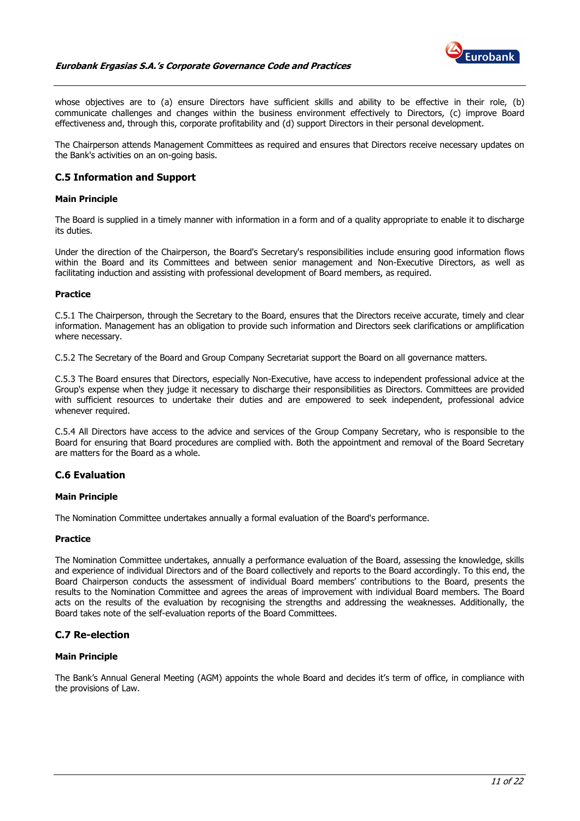#### **Eurobank Ergasias S.A.'s Corporate Governance Code and Practices**



whose objectives are to (a) ensure Directors have sufficient skills and ability to be effective in their role, (b) communicate challenges and changes within the business environment effectively to Directors, (c) improve Board effectiveness and, through this, corporate profitability and (d) support Directors in their personal development.

The Chairperson attends Management Committees as required and ensures that Directors receive necessary updates on the Bank's activities on an on-going basis.

# <span id="page-10-0"></span>**C.5 Information and Support**

#### **Main Principle**

The Board is supplied in a timely manner with information in a form and of a quality appropriate to enable it to discharge its duties.

Under the direction of the Chairperson, the Board's Secretary's responsibilities include ensuring good information flows within the Board and its Committees and between senior management and Non-Executive Directors, as well as facilitating induction and assisting with professional development of Board members, as required.

#### **Practice**

C.5.1 The Chairperson, through the Secretary to the Board, ensures that the Directors receive accurate, timely and clear information. Management has an obligation to provide such information and Directors seek clarifications or amplification where necessary.

C.5.2 The Secretary of the Board and Group Company Secretariat support the Board on all governance matters.

C.5.3 The Board ensures that Directors, especially Non-Executive, have access to independent professional advice at the Group's expense when they judge it necessary to discharge their responsibilities as Directors. Committees are provided with sufficient resources to undertake their duties and are empowered to seek independent, professional advice whenever required.

C.5.4 All Directors have access to the advice and services of the Group Company Secretary, who is responsible to the Board for ensuring that Board procedures are complied with. Both the appointment and removal of the Board Secretary are matters for the Board as a whole.

# <span id="page-10-1"></span>**C.6 Evaluation**

#### **Main Principle**

The Nomination Committee undertakes annually a formal evaluation of the Board's performance.

#### **Practice**

The Nomination Committee undertakes, annually a performance evaluation of the Board, assessing the knowledge, skills and experience of individual Directors and of the Board collectively and reports to the Board accordingly. To this end, the Board Chairperson conducts the assessment of individual Board members' contributions to the Board, presents the results to the Nomination Committee and agrees the areas of improvement with individual Board members. The Board acts on the results of the evaluation by recognising the strengths and addressing the weaknesses. Additionally, the Board takes note of the self-evaluation reports of the Board Committees.

#### <span id="page-10-2"></span>**C.7 Re-election**

#### **Main Principle**

The Bank's Annual General Meeting (AGM) appoints the whole Board and decides it's term of office, in compliance with the provisions of Law.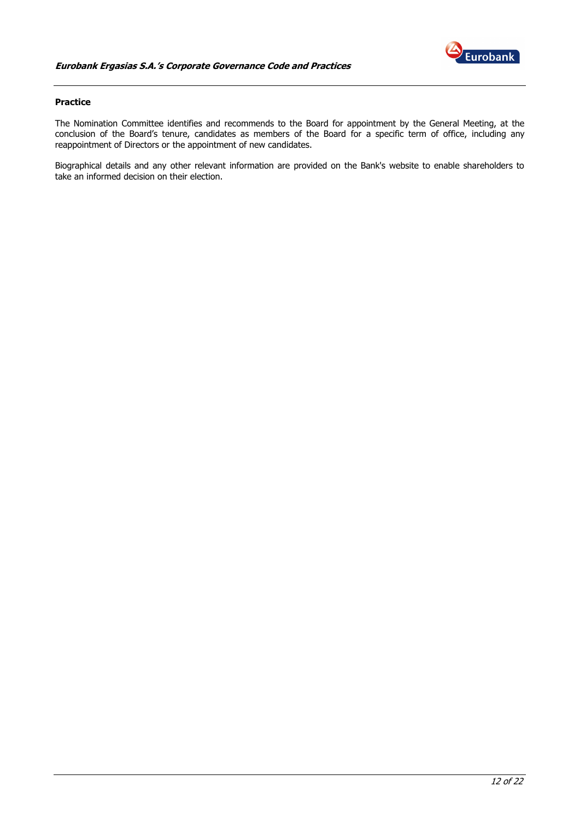

# **Practice**

The Nomination Committee identifies and recommends to the Board for appointment by the General Meeting, at the conclusion of the Board's tenure, candidates as members of the Board for a specific term of office, including any reappointment of Directors or the appointment of new candidates.

Biographical details and any other relevant information are provided on the Bank's website to enable shareholders to take an informed decision on their election.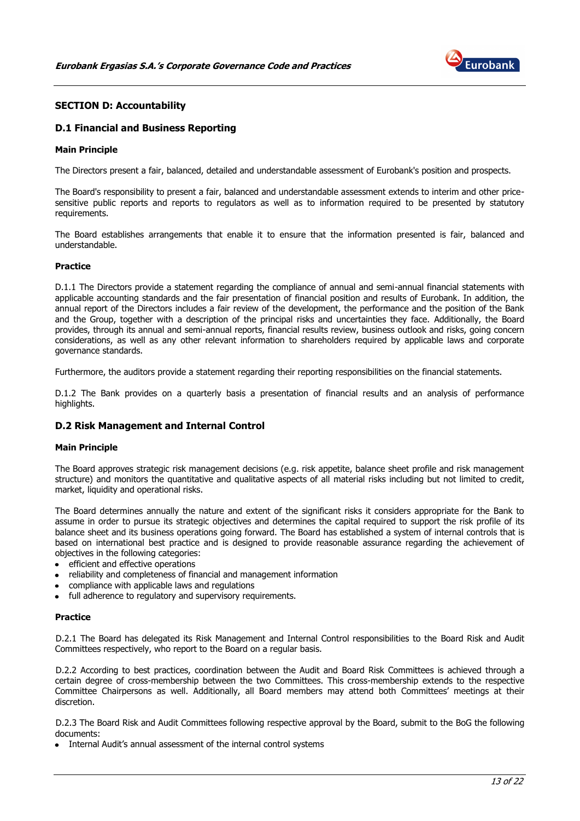

# <span id="page-12-0"></span>**SECTION D: Accountability**

# <span id="page-12-1"></span>**D.1 Financial and Business Reporting**

#### **Main Principle**

The Directors present a fair, balanced, detailed and understandable assessment of Eurobank's position and prospects.

The Board's responsibility to present a fair, balanced and understandable assessment extends to interim and other pricesensitive public reports and reports to regulators as well as to information required to be presented by statutory requirements.

The Board establishes arrangements that enable it to ensure that the information presented is fair, balanced and understandable.

#### **Practice**

D.1.1 The Directors provide a statement regarding the compliance of annual and semi-annual financial statements with applicable accounting standards and the fair presentation of financial position and results of Eurobank. In addition, the annual report of the Directors includes a fair review of the development, the performance and the position of the Bank and the Group, together with a description of the principal risks and uncertainties they face. Additionally, the Board provides, through its annual and semi-annual reports, financial results review, business outlook and risks, going concern considerations, as well as any other relevant information to shareholders required by applicable laws and corporate governance standards.

Furthermore, the auditors provide a statement regarding their reporting responsibilities on the financial statements.

D.1.2 The Bank provides on a quarterly basis a presentation of financial results and an analysis of performance highlights.

#### <span id="page-12-2"></span>**D.2 Risk Management and Internal Control**

#### **Main Principle**

The Board approves strategic risk management decisions (e.g. risk appetite, balance sheet profile and risk management structure) and monitors the quantitative and qualitative aspects of all material risks including but not limited to credit, market, liquidity and operational risks.

The Board determines annually the nature and extent of the significant risks it considers appropriate for the Bank to assume in order to pursue its strategic objectives and determines the capital required to support the risk profile of its balance sheet and its business operations going forward. The Board has established a system of internal controls that is based on international best practice and is designed to provide reasonable assurance regarding the achievement of objectives in the following categories:

- efficient and effective operations  $\bullet$
- reliability and completeness of financial and management information
- compliance with applicable laws and regulations
- full adherence to regulatory and supervisory requirements.

#### **Practice**

D.2.1 The Board has delegated its Risk Management and Internal Control responsibilities to the Board Risk and Audit Committees respectively, who report to the Board on a regular basis.

D.2.2 According to best practices, coordination between the Audit and Board Risk Committees is achieved through a certain degree of cross-membership between the two Committees. This cross-membership extends to the respective Committee Chairpersons as well. Additionally, all Board members may attend both Committees' meetings at their discretion.

D.2.3 The Board Risk and Audit Committees following respective approval by the Board, submit to the BoG the following documents:

• Internal Audit's annual assessment of the internal control systems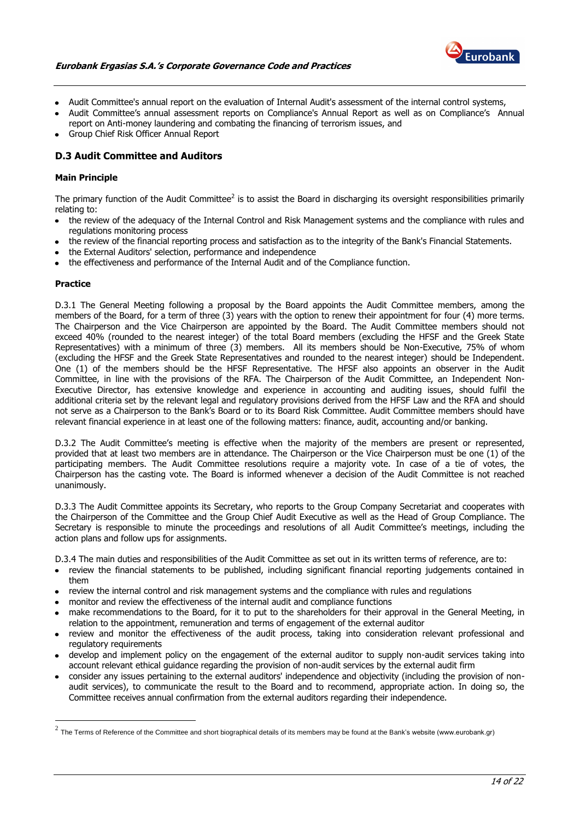

- Audit Committee's annual report on the evaluation of Internal Audit's assessment of the internal control systems,
- Audit Committee's annual assessment reports on Compliance's Annual Report as well as on Compliance's Annual report on Anti-money laundering and combating the financing of terrorism issues, and
- Group Chief Risk Officer Annual Report

# <span id="page-13-0"></span>**D.3 Audit Committee and Auditors**

# **Main Principle**

The primary function of the Audit Committee<sup>2</sup> is to assist the Board in discharging its oversight responsibilities primarily relating to:

- the review of the adequacy of the Internal Control and Risk Management systems and the compliance with rules and regulations monitoring process
- the review of the financial reporting process and satisfaction as to the integrity of the Bank's Financial Statements.
- the External Auditors' selection, performance and independence
- the effectiveness and performance of the Internal Audit and of the Compliance function.

#### **Practice**

D.3.1 The General Meeting following a proposal by the Board appoints the Audit Committee members, among the members of the Board, for a term of three (3) years with the option to renew their appointment for four (4) more terms. The Chairperson and the Vice Chairperson are appointed by the Board. The Audit Committee members should not exceed 40% (rounded to the nearest integer) of the total Board members (excluding the HFSF and the Greek State Representatives) with a minimum of three (3) members. All its members should be Non-Executive, 75% of whom (excluding the HFSF and the Greek State Representatives and rounded to the nearest integer) should be Independent. One (1) of the members should be the HFSF Representative. The HFSF also appoints an observer in the Audit Committee, in line with the provisions of the RFA. The Chairperson of the Audit Committee, an Independent Non-Executive Director, has extensive knowledge and experience in accounting and auditing issues, should fulfil the additional criteria set by the relevant legal and regulatory provisions derived from the HFSF Law and the RFA and should not serve as a Chairperson to the Bank's Board or to its Board Risk Committee. Audit Committee members should have relevant financial experience in at least one of the following matters: finance, audit, accounting and/or banking.

D.3.2 The Audit Committee's meeting is effective when the majority of the members are present or represented, provided that at least two members are in attendance. The Chairperson or the Vice Chairperson must be one (1) of the participating members. The Audit Committee resolutions require a majority vote. In case of a tie of votes, the Chairperson has the casting vote. The Board is informed whenever a decision of the Audit Committee is not reached unanimously.

D.3.3 The Audit Committee appoints its Secretary, who reports to the Group Company Secretariat and cooperates with the Chairperson of the Committee and the Group Chief Audit Executive as well as the Head of Group Compliance. The Secretary is responsible to minute the proceedings and resolutions of all Audit Committee's meetings, including the action plans and follow ups for assignments.

D.3.4 The main duties and responsibilities of the Audit Committee as set out in its written terms of reference, are to:

- review the financial statements to be published, including significant financial reporting judgements contained in them
- review the internal control and risk management systems and the compliance with rules and regulations
- monitor and review the effectiveness of the internal audit and compliance functions
- make recommendations to the Board, for it to put to the shareholders for their approval in the General Meeting, in relation to the appointment, remuneration and terms of engagement of the external auditor
- review and monitor the effectiveness of the audit process, taking into consideration relevant professional and regulatory requirements
- develop and implement policy on the engagement of the external auditor to supply non-audit services taking into account relevant ethical guidance regarding the provision of non-audit services by the external audit firm
- consider any issues pertaining to the external auditors' independence and objectivity (including the provision of nonaudit services), to communicate the result to the Board and to recommend, appropriate action. In doing so, the Committee receives annual confirmation from the external auditors regarding their independence.

 2 The Terms of Reference of the Committee and short biographical details of its members may be found at the Bank's website (www.eurobank.gr)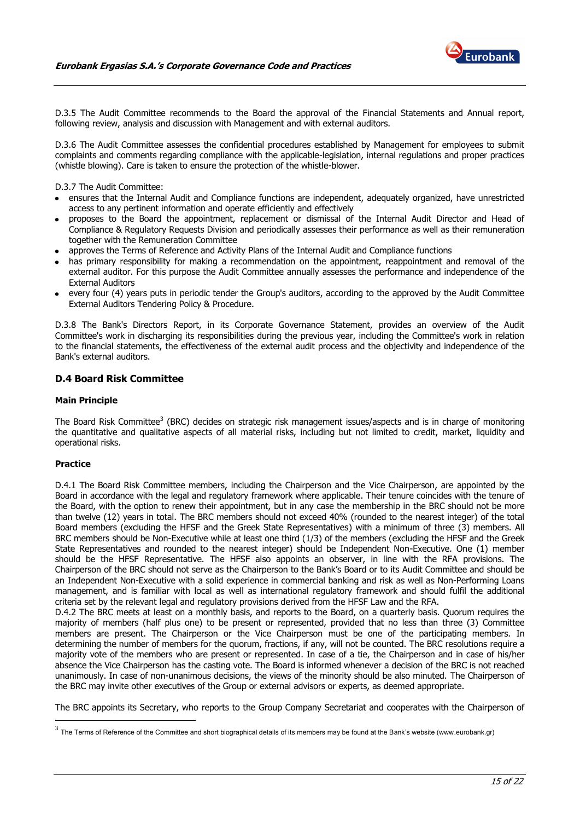

D.3.5 The Audit Committee recommends to the Board the approval of the Financial Statements and Annual report, following review, analysis and discussion with Management and with external auditors.

D.3.6 The Audit Committee assesses the confidential procedures established by Management for employees to submit complaints and comments regarding compliance with the applicable-legislation, internal regulations and proper practices (whistle blowing). Care is taken to ensure the protection of the whistle-blower.

D.3.7 The Audit Committee:

- ensures that the Internal Audit and Compliance functions are independent, adequately organized, have unrestricted access to any pertinent information and operate efficiently and effectively
- proposes to the Board the appointment, replacement or dismissal of the Internal Audit Director and Head of Compliance & Regulatory Requests Division and periodically assesses their performance as well as their remuneration together with the Remuneration Committee
- approves the Terms of Reference and Activity Plans of the Internal Audit and Compliance functions
- has primary responsibility for making a recommendation on the appointment, reappointment and removal of the external auditor. For this purpose the Audit Committee annually assesses the performance and independence of the External Auditors
- every four (4) years puts in periodic tender the Group's auditors, according to the approved by the Audit Committee External Auditors Tendering Policy & Procedure.

D.3.8 The Bank's Directors Report, in its Corporate Governance Statement, provides an overview of the Audit Committee's work in discharging its responsibilities during the previous year, including the Committee's work in relation to the financial statements, the effectiveness of the external audit process and the objectivity and independence of the Bank's external auditors.

# <span id="page-14-0"></span>**D.4 Board Risk Committee**

#### **Main Principle**

The Board Risk Committee<sup>3</sup> (BRC) decides on strategic risk management issues/aspects and is in charge of monitoring the quantitative and qualitative aspects of all material risks, including but not limited to credit, market, liquidity and operational risks.

#### **Practice**

<u>.</u>

D.4.1 The Board Risk Committee members, including the Chairperson and the Vice Chairperson, are appointed by the Board in accordance with the legal and regulatory framework where applicable. Their tenure coincides with the tenure of the Board, with the option to renew their appointment, but in any case the membership in the BRC should not be more than twelve (12) years in total. The BRC members should not exceed 40% (rounded to the nearest integer) of the total Board members (excluding the HFSF and the Greek State Representatives) with a minimum of three (3) members. All BRC members should be Non-Executive while at least one third (1/3) of the members (excluding the HFSF and the Greek State Representatives and rounded to the nearest integer) should be Independent Non-Executive. One (1) member should be the HFSF Representative. The HFSF also appoints an observer, in line with the RFA provisions. The Chairperson of the BRC should not serve as the Chairperson to the Bank's Board or to its Audit Committee and should be an Independent Non-Executive with a solid experience in commercial banking and risk as well as Non-Performing Loans management, and is familiar with local as well as international regulatory framework and should fulfil the additional criteria set by the relevant legal and regulatory provisions derived from the HFSF Law and the RFA.

D.4.2 The BRC meets at least on a monthly basis, and reports to the Board, on a quarterly basis. Quorum requires the majority of members (half plus one) to be present or represented, provided that no less than three (3) Committee members are present. The Chairperson or the Vice Chairperson must be one of the participating members. In determining the number of members for the quorum, fractions, if any, will not be counted. The BRC resolutions require a majority vote of the members who are present or represented. In case of a tie, the Chairperson and in case of his/her absence the Vice Chairperson has the casting vote. The Board is informed whenever a decision of the BRC is not reached unanimously. In case of non-unanimous decisions, the views of the minority should be also minuted. The Chairperson of the BRC may invite other executives of the Group or external advisors or experts, as deemed appropriate.

The BRC appoints its Secretary, who reports to the Group Company Secretariat and cooperates with the Chairperson of

 $^3$  The Terms of Reference of the Committee and short biographical details of its members may be found at the Bank's website (www.eurobank.gr)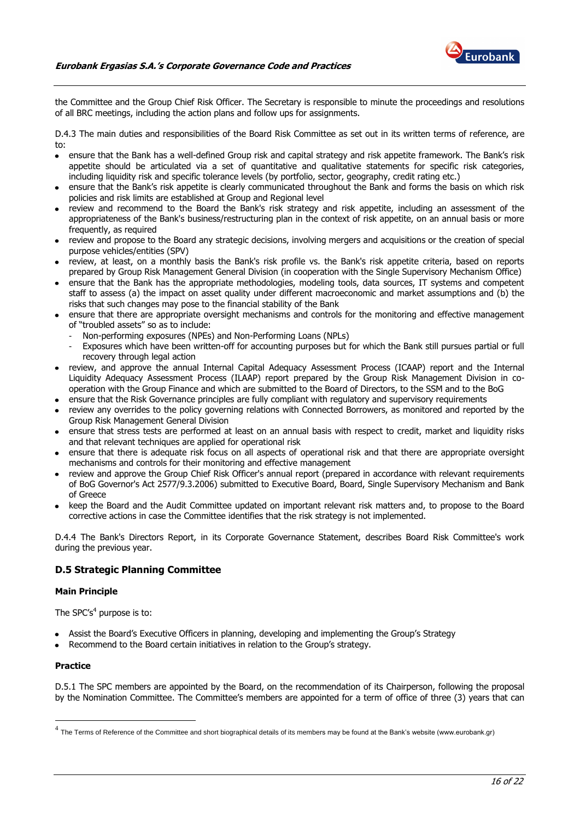

the Committee and the Group Chief Risk Officer. The Secretary is responsible to minute the proceedings and resolutions of all BRC meetings, including the action plans and follow ups for assignments.

D.4.3 The main duties and responsibilities of the Board Risk Committee as set out in its written terms of reference, are to:

- ensure that the Bank has a well-defined Group risk and capital strategy and risk appetite framework. The Bank's risk appetite should be articulated via a set of quantitative and qualitative statements for specific risk categories, including liquidity risk and specific tolerance levels (by portfolio, sector, geography, credit rating etc.)
- ensure that the Bank's risk appetite is clearly communicated throughout the Bank and forms the basis on which risk policies and risk limits are established at Group and Regional level
- review and recommend to the Board the Bank's risk strategy and risk appetite, including an assessment of the appropriateness of the Bank's business/restructuring plan in the context of risk appetite, on an annual basis or more frequently, as required
- review and propose to the Board any strategic decisions, involving mergers and acquisitions or the creation of special purpose vehicles/entities (SPV)
- review, at least, on a monthly basis the Bank's risk profile vs. the Bank's risk appetite criteria, based on reports prepared by Group Risk Management General Division (in cooperation with the Single Supervisory Mechanism Office)
- ensure that the Bank has the appropriate methodologies, modeling tools, data sources, IT systems and competent staff to assess (a) the impact on asset quality under different macroeconomic and market assumptions and (b) the risks that such changes may pose to the financial stability of the Bank
- ensure that there are appropriate oversight mechanisms and controls for the monitoring and effective management of "troubled assets" so as to include:
	- Non-performing exposures (NPEs) and Non-Performing Loans (NPLs)
	- Exposures which have been written-off for accounting purposes but for which the Bank still pursues partial or full recovery through legal action
- review, and approve the annual Internal Capital Adequacy Assessment Process (ICAAP) report and the Internal Liquidity Adequacy Assessment Process (ILAAP) report prepared by the Group Risk Management Division in cooperation with the Group Finance and which are submitted to the Board of Directors, to the SSM and to the BoG
- ensure that the Risk Governance principles are fully compliant with regulatory and supervisory requirements
- review any overrides to the policy governing relations with Connected Borrowers, as monitored and reported by the Group Risk Management General Division
- ensure that stress tests are performed at least on an annual basis with respect to credit, market and liquidity risks and that relevant techniques are applied for operational risk
- ensure that there is adequate risk focus on all aspects of operational risk and that there are appropriate oversight mechanisms and controls for their monitoring and effective management
- review and approve the Group Chief Risk Officer's annual report (prepared in accordance with relevant requirements of BoG Governor's Act 2577/9.3.2006) submitted to Executive Board, Board, Single Supervisory Mechanism and Bank of Greece
- keep the Board and the Audit Committee updated on important relevant risk matters and, to propose to the Board corrective actions in case the Committee identifies that the risk strategy is not implemented.

D.4.4 The Bank's Directors Report, in its Corporate Governance Statement, describes Board Risk Committee's work during the previous year.

# <span id="page-15-0"></span>**D.5 Strategic Planning Committee**

#### **Main Principle**

The SPC's<sup>4</sup> purpose is to:

- Assist the Board's Executive Officers in planning, developing and implementing the Group's Strategy
- Recommend to the Board certain initiatives in relation to the Group's strategy.

#### **Practice**

D.5.1 The SPC members are appointed by the Board, on the recommendation of its Chairperson, following the proposal by the Nomination Committee. The Committee's members are appointed for a term of office of three (3) years that can

 4 The Terms of Reference of the Committee and short biographical details of its members may be found at the Bank's website (www.eurobank.gr)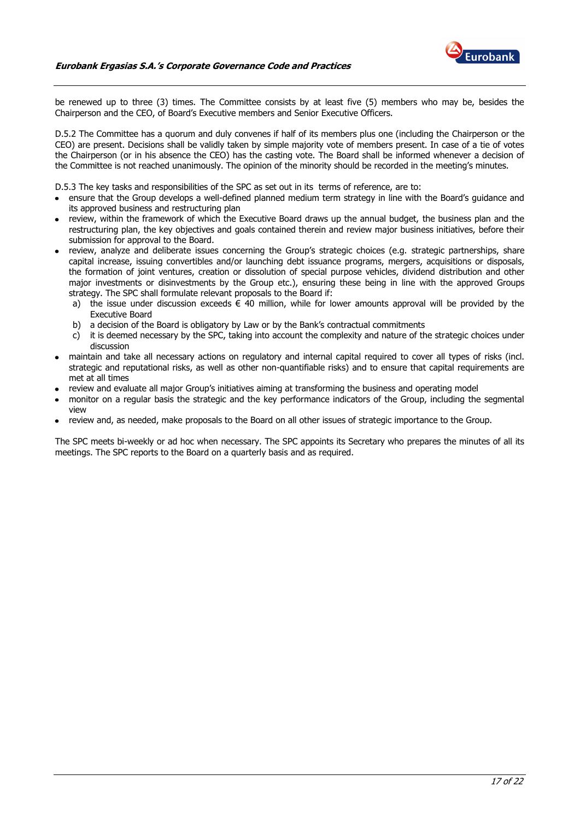

be renewed up to three (3) times. The Committee consists by at least five (5) members who may be, besides the Chairperson and the CEO, of Board's Executive members and Senior Executive Officers.

D.5.2 The Committee has a quorum and duly convenes if half of its members plus one (including the Chairperson or the CEO) are present. Decisions shall be validly taken by simple majority vote of members present. In case of a tie of votes the Chairperson (or in his absence the CEO) has the casting vote. The Board shall be informed whenever a decision of the Committee is not reached unanimously. The opinion of the minority should be recorded in the meeting's minutes.

D.5.3 The key tasks and responsibilities of the SPC as set out in its terms of reference, are to:

- ensure that the Group develops a well-defined planned medium term strategy in line with the Board's guidance and its approved business and restructuring plan
- review, within the framework of which the Executive Board draws up the annual budget, the business plan and the restructuring plan, the key objectives and goals contained therein and review major business initiatives, before their submission for approval to the Board.
- review, analyze and deliberate issues concerning the Group's strategic choices (e.g. strategic partnerships, share capital increase, issuing convertibles and/or launching debt issuance programs, mergers, acquisitions or disposals, the formation of joint ventures, creation or dissolution of special purpose vehicles, dividend distribution and other major investments or disinvestments by the Group etc.), ensuring these being in line with the approved Groups strategy. The SPC shall formulate relevant proposals to the Board if:
	- a) the issue under discussion exceeds  $\epsilon$  40 million, while for lower amounts approval will be provided by the Executive Board
	- b) a decision of the Board is obligatory by Law or by the Bank's contractual commitments
	- c) it is deemed necessary by the SPC, taking into account the complexity and nature of the strategic choices under discussion
- maintain and take all necessary actions on regulatory and internal capital required to cover all types of risks (incl. strategic and reputational risks, as well as other non-quantifiable risks) and to ensure that capital requirements are met at all times
- review and evaluate all major Group's initiatives aiming at transforming the business and operating model
- monitor on a regular basis the strategic and the key performance indicators of the Group, including the segmental view
- review and, as needed, make proposals to the Board on all other issues of strategic importance to the Group.

The SPC meets bi-weekly or ad hoc when necessary. The SPC appoints its Secretary who prepares the minutes of all its meetings. The SPC reports to the Board on a quarterly basis and as required.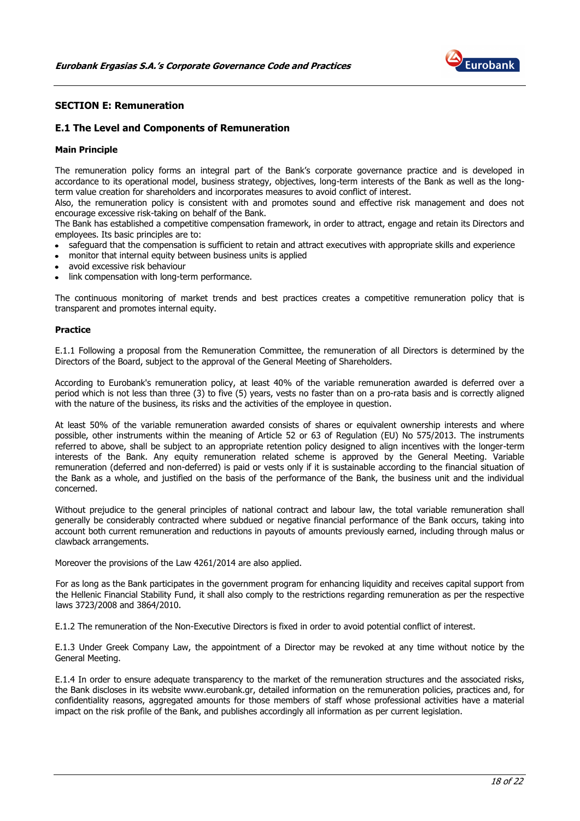

# <span id="page-17-0"></span>**SECTION E: Remuneration**

# <span id="page-17-1"></span>**E.1 The Level and Components of Remuneration**

#### **Main Principle**

The remuneration policy forms an integral part of the Bank's corporate governance practice and is developed in accordance to its operational model, business strategy, objectives, long-term interests of the Bank as well as the longterm value creation for shareholders and incorporates measures to avoid conflict of interest.

Also, the remuneration policy is consistent with and promotes sound and effective risk management and does not encourage excessive risk-taking on behalf of the Bank.

The Bank has established a competitive compensation framework, in order to attract, engage and retain its Directors and employees. Its basic principles are to:

- safeguard that the compensation is sufficient to retain and attract executives with appropriate skills and experience
- monitor that internal equity between business units is applied
- avoid excessive risk behaviour
- link compensation with long-term performance.

The continuous monitoring of market trends and best practices creates a competitive remuneration policy that is transparent and promotes internal equity.

#### **Practice**

E.1.1 Following a proposal from the Remuneration Committee, the remuneration of all Directors is determined by the Directors of the Board, subject to the approval of the General Meeting of Shareholders.

According to Eurobank's remuneration policy, at least 40% of the variable remuneration awarded is deferred over a period which is not less than three (3) to five (5) years, vests no faster than on a pro-rata basis and is correctly aligned with the nature of the business, its risks and the activities of the employee in question.

At least 50% of the variable remuneration awarded consists of shares or equivalent ownership interests and where possible, other instruments within the meaning of Article 52 or 63 of Regulation (EU) No 575/2013. The instruments referred to above, shall be subject to an appropriate retention policy designed to align incentives with the longer-term interests of the Bank. Any equity remuneration related scheme is approved by the General Meeting. Variable remuneration (deferred and non-deferred) is paid or vests only if it is sustainable according to the financial situation of the Bank as a whole, and justified on the basis of the performance of the Bank, the business unit and the individual concerned.

Without prejudice to the general principles of national contract and labour law, the total variable remuneration shall generally be considerably contracted where subdued or negative financial performance of the Bank occurs, taking into account both current remuneration and reductions in payouts of amounts previously earned, including through malus or clawback arrangements.

Moreover the provisions of the Law 4261/2014 are also applied.

For as long as the Bank participates in the government program for enhancing liquidity and receives capital support from the Hellenic Financial Stability Fund, it shall also comply to the restrictions regarding remuneration as per the respective laws 3723/2008 and 3864/2010.

E.1.2 The remuneration of the Non-Executive Directors is fixed in order to avoid potential conflict of interest.

E.1.3 Under Greek Company Law, the appointment of a Director may be revoked at any time without notice by the General Meeting.

E.1.4 In order to ensure adequate transparency to the market of the remuneration structures and the associated risks, the Bank discloses in its website www.eurobank.gr, detailed information on the remuneration policies, practices and, for confidentiality reasons, aggregated amounts for those members of staff whose professional activities have a material impact on the risk profile of the Bank, and publishes accordingly all information as per current legislation.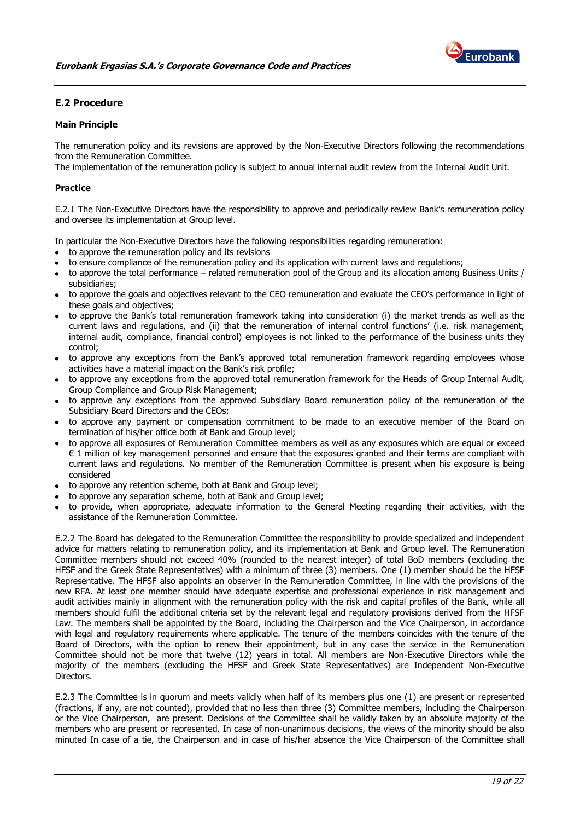

# <span id="page-18-0"></span>**E.2 Procedure**

# **Main Principle**

The remuneration policy and its revisions are approved by the Non-Executive Directors following the recommendations from the Remuneration Committee.

The implementation of the remuneration policy is subject to annual internal audit review from the Internal Audit Unit.

#### **Practice**

E.2.1 The Non-Executive Directors have the responsibility to approve and periodically review Bank's remuneration policy and oversee its implementation at Group level.

In particular the Non-Executive Directors have the following responsibilities regarding remuneration:

- to approve the remuneration policy and its revisions
- to ensure compliance of the remuneration policy and its application with current laws and regulations;
- to approve the total performance related remuneration pool of the Group and its allocation among Business Units / subsidiaries;
- to approve the goals and objectives relevant to the CEO remuneration and evaluate the CEO's performance in light of these goals and objectives;
- to approve the Bank's total remuneration framework taking into consideration (i) the market trends as well as the current laws and regulations, and (ii) that the remuneration of internal control functions' (i.e. risk management, internal audit, compliance, financial control) employees is not linked to the performance of the business units they control;
- to approve any exceptions from the Bank's approved total remuneration framework regarding employees whose activities have a material impact on the Bank's risk profile;
- to approve any exceptions from the approved total remuneration framework for the Heads of Group Internal Audit, Group Compliance and Group Risk Management;
- to approve any exceptions from the approved Subsidiary Board remuneration policy of the remuneration of the Subsidiary Board Directors and the CEOs;
- to approve any payment or compensation commitment to be made to an executive member of the Board on termination of his/her office both at Bank and Group level;
- to approve all exposures of Remuneration Committee members as well as any exposures which are equal or exceed € 1 million of key management personnel and ensure that the exposures granted and their terms are compliant with current laws and regulations. No member of the Remuneration Committee is present when his exposure is being considered
- to approve any retention scheme, both at Bank and Group level;
- to approve any separation scheme, both at Bank and Group level;
- to provide, when appropriate, adequate information to the General Meeting regarding their activities, with the assistance of the Remuneration Committee.

E.2.2 The Board has delegated to the Remuneration Committee the responsibility to provide specialized and independent advice for matters relating to remuneration policy, and its implementation at Bank and Group level. The Remuneration Committee members should not exceed 40% (rounded to the nearest integer) of total BoD members (excluding the HFSF and the Greek State Representatives) with a minimum of three (3) members. One (1) member should be the HFSF Representative. The HFSF also appoints an observer in the Remuneration Committee, in line with the provisions of the new RFA. At least one member should have adequate expertise and professional experience in risk management and audit activities mainly in alignment with the remuneration policy with the risk and capital profiles of the Bank, while all members should fulfil the additional criteria set by the relevant legal and regulatory provisions derived from the HFSF Law. The members shall be appointed by the Board, including the Chairperson and the Vice Chairperson, in accordance with legal and regulatory requirements where applicable. The tenure of the members coincides with the tenure of the Board of Directors, with the option to renew their appointment, but in any case the service in the Remuneration Committee should not be more that twelve (12) years in total. All members are Non-Executive Directors while the majority of the members (excluding the HFSF and Greek State Representatives) are Independent Non-Executive Directors.

E.2.3 The Committee is in quorum and meets validly when half of its members plus one (1) are present or represented (fractions, if any, are not counted), provided that no less than three (3) Committee members, including the Chairperson or the Vice Chairperson, are present. Decisions of the Committee shall be validly taken by an absolute majority of the members who are present or represented. In case of non-unanimous decisions, the views of the minority should be also minuted In case of a tie, the Chairperson and in case of his/her absence the Vice Chairperson of the Committee shall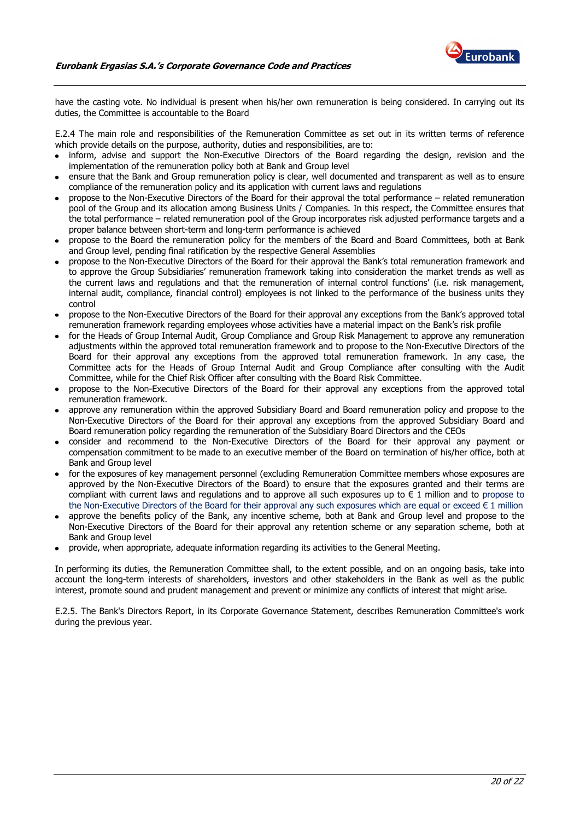

have the casting vote. No individual is present when his/her own remuneration is being considered. In carrying out its duties, the Committee is accountable to the Board

E.2.4 The main role and responsibilities of the Remuneration Committee as set out in its written terms of reference which provide details on the purpose, authority, duties and responsibilities, are to:

- inform, advise and support the Non-Executive Directors of the Board regarding the design, revision and the implementation of the remuneration policy both at Bank and Group level
- ensure that the Bank and Group remuneration policy is clear, well documented and transparent as well as to ensure compliance of the remuneration policy and its application with current laws and regulations
- propose to the Non-Executive Directors of the Board for their approval the total performance related remuneration pool of the Group and its allocation among Business Units / Companies. In this respect, the Committee ensures that the total performance – related remuneration pool of the Group incorporates risk adjusted performance targets and a proper balance between short-term and long-term performance is achieved
- propose to the Board the remuneration policy for the members of the Board and Board Committees, both at Bank and Group level, pending final ratification by the respective General Assemblies
- propose to the Non-Executive Directors of the Board for their approval the Bank's total remuneration framework and to approve the Group Subsidiaries' remuneration framework taking into consideration the market trends as well as the current laws and regulations and that the remuneration of internal control functions' (i.e. risk management, internal audit, compliance, financial control) employees is not linked to the performance of the business units they control
- propose to the Non-Executive Directors of the Board for their approval any exceptions from the Bank's approved total remuneration framework regarding employees whose activities have a material impact on the Bank's risk profile
- for the Heads of Group Internal Audit, Group Compliance and Group Risk Management to approve any remuneration adjustments within the approved total remuneration framework and to propose to the Non-Executive Directors of the Board for their approval any exceptions from the approved total remuneration framework. In any case, the Committee acts for the Heads of Group Internal Audit and Group Compliance after consulting with the Audit Committee, while for the Chief Risk Officer after consulting with the Board Risk Committee.
- propose to the Non-Executive Directors of the Board for their approval any exceptions from the approved total remuneration framework.
- approve any remuneration within the approved Subsidiary Board and Board remuneration policy and propose to the Non-Executive Directors of the Board for their approval any exceptions from the approved Subsidiary Board and Board remuneration policy regarding the remuneration of the Subsidiary Board Directors and the CEOs
- consider and recommend to the Non-Executive Directors of the Board for their approval any payment or compensation commitment to be made to an executive member of the Board on termination of his/her office, both at Bank and Group level
- for the exposures of key management personnel (excluding Remuneration Committee members whose exposures are approved by the Non-Executive Directors of the Board) to ensure that the exposures granted and their terms are compliant with current laws and regulations and to approve all such exposures up to € 1 million and to propose to the Non-Executive Directors of the Board for their approval any such exposures which are equal or exceed € 1 million
- approve the benefits policy of the Bank, any incentive scheme, both at Bank and Group level and propose to the Non-Executive Directors of the Board for their approval any retention scheme or any separation scheme, both at Bank and Group level
- provide, when appropriate, adequate information regarding its activities to the General Meeting.

In performing its duties, the Remuneration Committee shall, to the extent possible, and on an ongoing basis, take into account the long-term interests of shareholders, investors and other stakeholders in the Bank as well as the public interest, promote sound and prudent management and prevent or minimize any conflicts of interest that might arise.

E.2.5. The Bank's Directors Report, in its Corporate Governance Statement, describes Remuneration Committee's work during the previous year.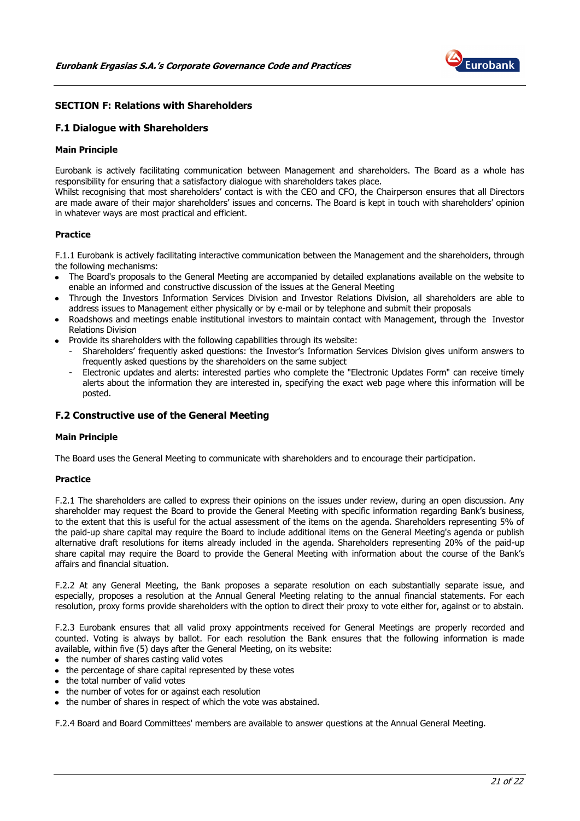

# <span id="page-20-0"></span>**SECTION F: Relations with Shareholders**

# <span id="page-20-1"></span>**F.1 Dialogue with Shareholders**

#### **Main Principle**

Eurobank is actively facilitating communication between Management and shareholders. The Board as a whole has responsibility for ensuring that a satisfactory dialogue with shareholders takes place.

Whilst recognising that most shareholders' contact is with the CEO and CFO, the Chairperson ensures that all Directors are made aware of their major shareholders' issues and concerns. The Board is kept in touch with shareholders' opinion in whatever ways are most practical and efficient.

#### **Practice**

F.1.1 Eurobank is actively facilitating interactive communication between the Management and the shareholders, through the following mechanisms:

- The Board's proposals to the General Meeting are accompanied by detailed explanations available on the website to enable an informed and constructive discussion of the issues at the General Meeting
- Through the Investors Information Services Division and Investor Relations Division, all shareholders are able to address issues to Management either physically or by e-mail or by telephone and submit their proposals
- Roadshows and meetings enable institutional investors to maintain contact with Management, through the Investor Relations Division
- Provide its shareholders with the following capabilities through its website:
- Shareholders' frequently asked questions: the Investor's Information Services Division gives uniform answers to frequently asked questions by the shareholders on the same subject
- Electronic updates and alerts: interested parties who complete the "Electronic Updates Form" can receive timely alerts about the information they are interested in, specifying the exact web page where this information will be posted.

# <span id="page-20-2"></span>**F.2 Constructive use of the General Meeting**

#### **Main Principle**

The Board uses the General Meeting to communicate with shareholders and to encourage their participation.

#### **Practice**

F.2.1 The shareholders are called to express their opinions on the issues under review, during an open discussion. Any shareholder may request the Board to provide the General Meeting with specific information regarding Bank's business, to the extent that this is useful for the actual assessment of the items on the agenda. Shareholders representing 5% of the paid-up share capital may require the Board to include additional items on the General Meeting's agenda or publish alternative draft resolutions for items already included in the agenda. Shareholders representing 20% of the paid-up share capital may require the Board to provide the General Meeting with information about the course of the Bank's affairs and financial situation.

F.2.2 At any General Meeting, the Bank proposes a separate resolution on each substantially separate issue, and especially, proposes a resolution at the Annual General Meeting relating to the annual financial statements. For each resolution, proxy forms provide shareholders with the option to direct their proxy to vote either for, against or to abstain.

F.2.3 Eurobank ensures that all valid proxy appointments received for General Meetings are properly recorded and counted. Voting is always by ballot. For each resolution the Bank ensures that the following information is made available, within five (5) days after the General Meeting, on its website:

- the number of shares casting valid votes
- the percentage of share capital represented by these votes
- the total number of valid votes
- the number of votes for or against each resolution
- the number of shares in respect of which the vote was abstained.

F.2.4 Board and Board Committees' members are available to answer questions at the Annual General Meeting.